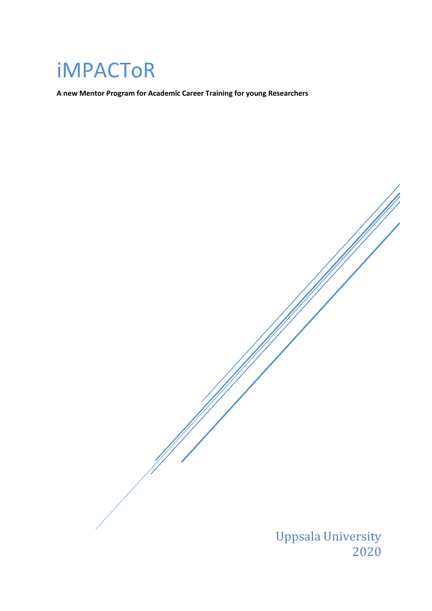## iMPACToR

**A new Mentor Program for Academic Career Training for young Researchers**

Uppsala University 2020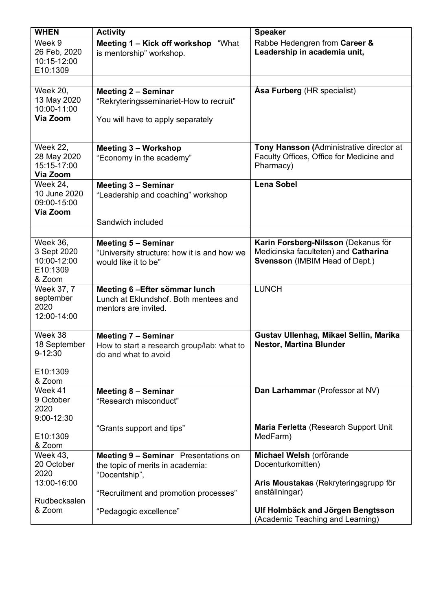| <b>WHEN</b>                                                         | <b>Activity</b>                                                                                            | <b>Speaker</b>                                                                                                |
|---------------------------------------------------------------------|------------------------------------------------------------------------------------------------------------|---------------------------------------------------------------------------------------------------------------|
| Week 9<br>26 Feb, 2020<br>10:15-12:00<br>E10:1309                   | Meeting 1 - Kick off workshop<br>"What<br>is mentorship" workshop.                                         | Rabbe Hedengren from Career &<br>Leadership in academia unit,                                                 |
|                                                                     |                                                                                                            |                                                                                                               |
| <b>Week 20,</b><br>13 May 2020<br>10:00-11:00<br>Via Zoom           | <b>Meeting 2 - Seminar</b><br>"Rekryteringsseminariet-How to recruit"<br>You will have to apply separately | <b>Asa Furberg (HR specialist)</b>                                                                            |
| <b>Week 22,</b>                                                     | <b>Meeting 3 - Workshop</b>                                                                                | Tony Hansson (Administrative director at                                                                      |
| 28 May 2020<br>15:15-17:00<br>Via Zoom                              | "Economy in the academy"                                                                                   | Faculty Offices, Office for Medicine and<br>Pharmacy)                                                         |
| Week 24,<br>10 June 2020<br>09:00-15:00<br>Via Zoom                 | <b>Meeting 3 - Seminar</b><br>"Leadership and coaching" workshop                                           | <b>Lena Sobel</b>                                                                                             |
|                                                                     | Sandwich included                                                                                          |                                                                                                               |
|                                                                     |                                                                                                            |                                                                                                               |
| <b>Week 36,</b><br>3 Sept 2020<br>10:00-12:00<br>E10:1309<br>& Zoom | <b>Meeting 5 - Seminar</b><br>"University structure: how it is and how we<br>would like it to be"          | Karin Forsberg-Nilsson (Dekanus för<br>Medicinska faculteten) and Catharina<br>Svensson (IMBIM Head of Dept.) |
| Week 37, 7<br>september<br>2020<br>12:00-14:00                      | Meeting 6 - Efter sömmar lunch<br>Lunch at Eklundshof. Both mentees and<br>mentors are invited.            | <b>LUNCH</b>                                                                                                  |
| Week 38<br>18 September<br>9-12:30<br>E10:1309                      | <b>Meeting 7 - Seminar</b><br>How to start a research group/lab: what to<br>do and what to avoid           | Gustav Ullenhag, Mikael Sellin, Marika<br><b>Nestor, Martina Blunder</b>                                      |
| & Zoom<br>Week 41                                                   | Meeting 8 - Seminar                                                                                        | Dan Larhammar (Professor at NV)                                                                               |
| 9 October<br>2020<br>9:00-12:30                                     | "Research misconduct"                                                                                      |                                                                                                               |
| E10:1309<br>& Zoom                                                  | "Grants support and tips"                                                                                  | Maria Ferletta (Research Support Unit<br>MedFarm)                                                             |
| <b>Week 43,</b><br>20 October<br>2020                               | Meeting 9 - Seminar Presentations on<br>the topic of merits in academia:<br>"Docentship",                  | Michael Welsh (orförande<br>Docenturkomitten)                                                                 |
| 13:00-16:00                                                         | "Recruitment and promotion processes"                                                                      | Aris Moustakas (Rekryteringsgrupp för<br>anställningar)                                                       |
| Rudbecksalen<br>& Zoom                                              | "Pedagogic excellence"                                                                                     | Ulf Holmbäck and Jörgen Bengtsson<br>(Academic Teaching and Learning)                                         |